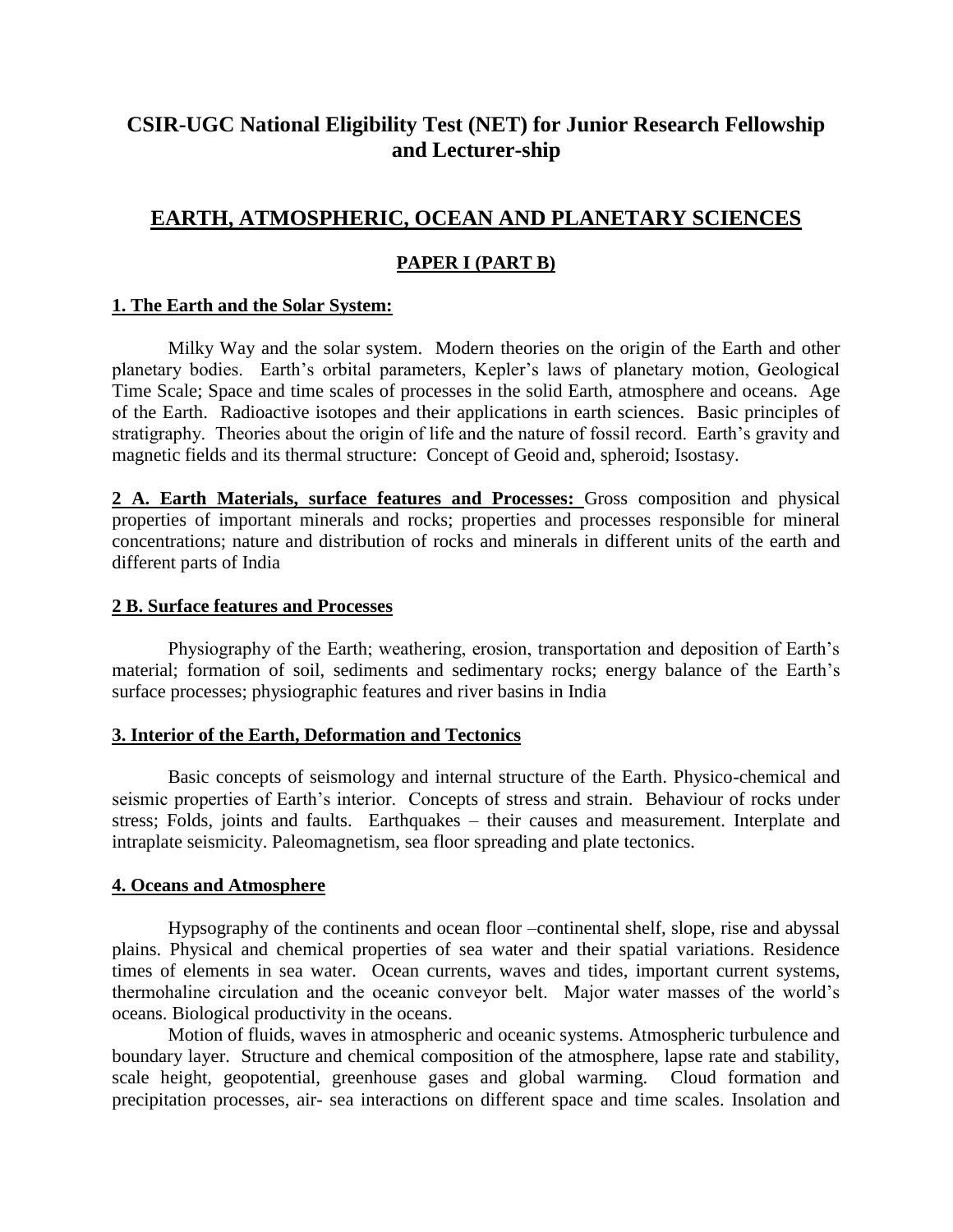# **CSIR-UGC National Eligibility Test (NET) for Junior Research Fellowship and Lecturer-ship**

# **EARTH, ATMOSPHERIC, OCEAN AND PLANETARY SCIENCES**

### **PAPER I (PART B)**

#### **1. The Earth and the Solar System:**

Milky Way and the solar system. Modern theories on the origin of the Earth and other planetary bodies. Earth's orbital parameters, Kepler's laws of planetary motion, Geological Time Scale; Space and time scales of processes in the solid Earth, atmosphere and oceans. Age of the Earth. Radioactive isotopes and their applications in earth sciences. Basic principles of stratigraphy. Theories about the origin of life and the nature of fossil record. Earth's gravity and magnetic fields and its thermal structure: Concept of Geoid and, spheroid; Isostasy.

**2 A. Earth Materials, surface features and Processes:** Gross composition and physical properties of important minerals and rocks; properties and processes responsible for mineral concentrations; nature and distribution of rocks and minerals in different units of the earth and different parts of India

#### **2 B. Surface features and Processes**

Physiography of the Earth; weathering, erosion, transportation and deposition of Earth's material; formation of soil, sediments and sedimentary rocks; energy balance of the Earth's surface processes; physiographic features and river basins in India

#### **3. Interior of the Earth, Deformation and Tectonics**

Basic concepts of seismology and internal structure of the Earth. Physico-chemical and seismic properties of Earth's interior. Concepts of stress and strain. Behaviour of rocks under stress; Folds, joints and faults. Earthquakes – their causes and measurement. Interplate and intraplate seismicity. Paleomagnetism, sea floor spreading and plate tectonics.

#### **4. Oceans and Atmosphere**

Hypsography of the continents and ocean floor –continental shelf, slope, rise and abyssal plains. Physical and chemical properties of sea water and their spatial variations. Residence times of elements in sea water. Ocean currents, waves and tides, important current systems, thermohaline circulation and the oceanic conveyor belt. Major water masses of the world's oceans. Biological productivity in the oceans.

Motion of fluids, waves in atmospheric and oceanic systems. Atmospheric turbulence and boundary layer. Structure and chemical composition of the atmosphere, lapse rate and stability, scale height, geopotential, greenhouse gases and global warming. Cloud formation and precipitation processes, air- sea interactions on different space and time scales. Insolation and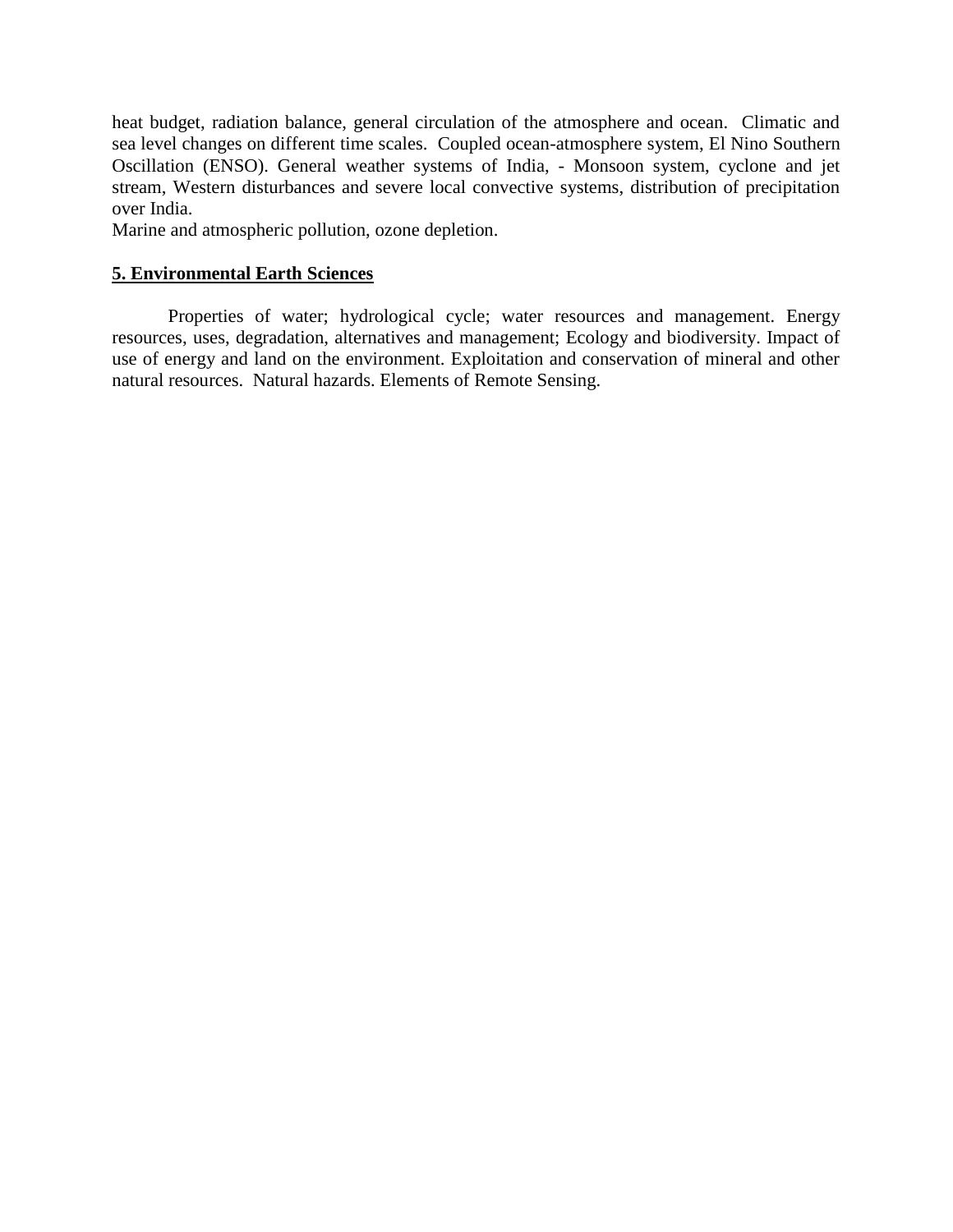heat budget, radiation balance, general circulation of the atmosphere and ocean. Climatic and sea level changes on different time scales. Coupled ocean-atmosphere system, El Nino Southern Oscillation (ENSO). General weather systems of India, - Monsoon system, cyclone and jet stream, Western disturbances and severe local convective systems, distribution of precipitation over India.

Marine and atmospheric pollution, ozone depletion.

### **5. Environmental Earth Sciences**

Properties of water; hydrological cycle; water resources and management. Energy resources, uses, degradation, alternatives and management; Ecology and biodiversity. Impact of use of energy and land on the environment. Exploitation and conservation of mineral and other natural resources. Natural hazards. Elements of Remote Sensing.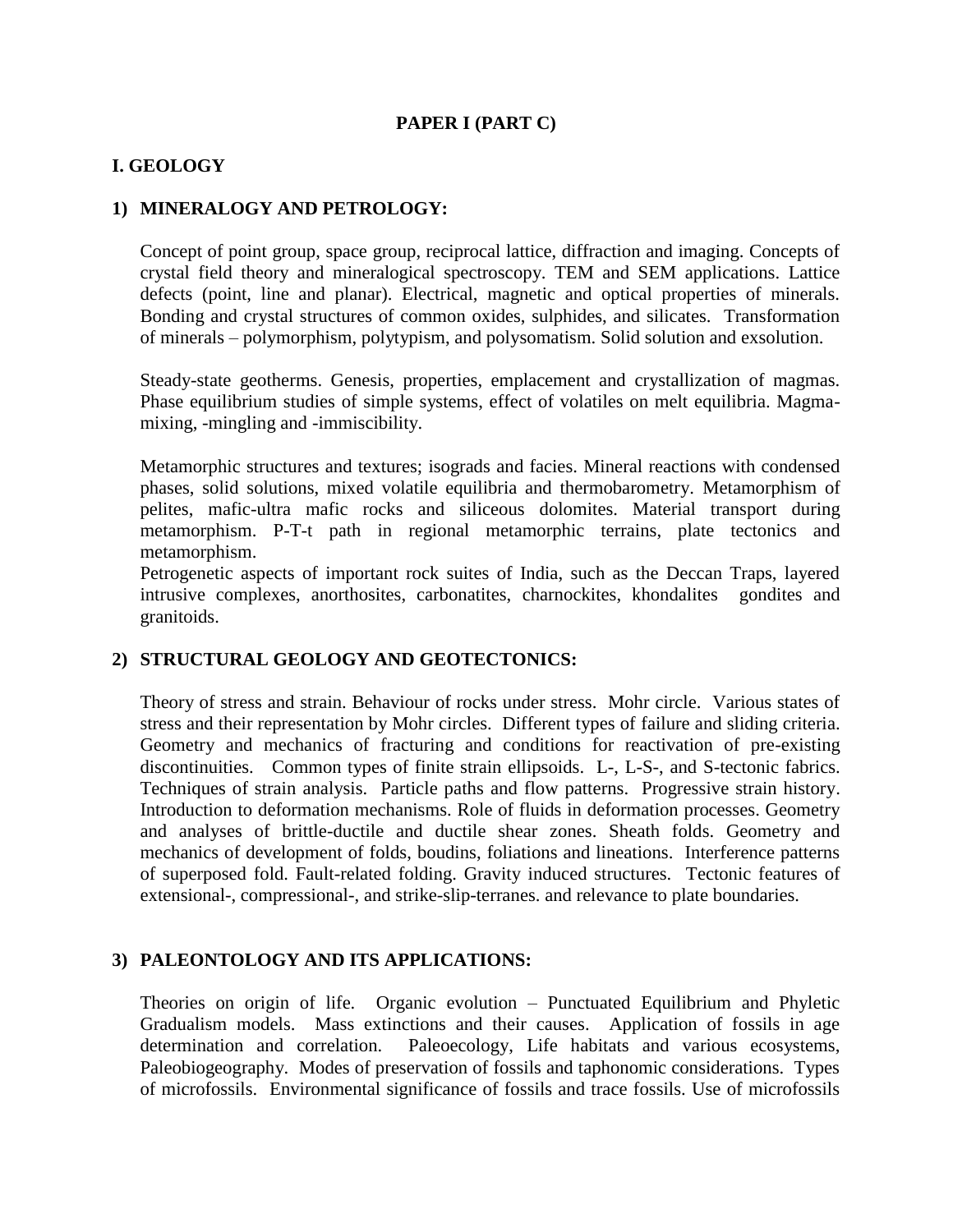#### **PAPER I (PART C)**

#### **I. GEOLOGY**

#### **1) MINERALOGY AND PETROLOGY:**

Concept of point group, space group, reciprocal lattice, diffraction and imaging. Concepts of crystal field theory and mineralogical spectroscopy. TEM and SEM applications. Lattice defects (point, line and planar). Electrical, magnetic and optical properties of minerals. Bonding and crystal structures of common oxides, sulphides, and silicates. Transformation of minerals – polymorphism, polytypism, and polysomatism. Solid solution and exsolution.

Steady-state geotherms. Genesis, properties, emplacement and crystallization of magmas. Phase equilibrium studies of simple systems, effect of volatiles on melt equilibria. Magmamixing, -mingling and -immiscibility.

Metamorphic structures and textures; isograds and facies. Mineral reactions with condensed phases, solid solutions, mixed volatile equilibria and thermobarometry. Metamorphism of pelites, mafic-ultra mafic rocks and siliceous dolomites. Material transport during metamorphism. P-T-t path in regional metamorphic terrains, plate tectonics and metamorphism.

Petrogenetic aspects of important rock suites of India, such as the Deccan Traps, layered intrusive complexes, anorthosites, carbonatites, charnockites, khondalites gondites and granitoids.

#### **2) STRUCTURAL GEOLOGY AND GEOTECTONICS:**

Theory of stress and strain. Behaviour of rocks under stress. Mohr circle. Various states of stress and their representation by Mohr circles. Different types of failure and sliding criteria. Geometry and mechanics of fracturing and conditions for reactivation of pre-existing discontinuities. Common types of finite strain ellipsoids. L-, L-S-, and S-tectonic fabrics. Techniques of strain analysis. Particle paths and flow patterns. Progressive strain history. Introduction to deformation mechanisms. Role of fluids in deformation processes. Geometry and analyses of brittle-ductile and ductile shear zones. Sheath folds. Geometry and mechanics of development of folds, boudins, foliations and lineations. Interference patterns of superposed fold. Fault-related folding. Gravity induced structures. Tectonic features of extensional-, compressional-, and strike-slip-terranes. and relevance to plate boundaries.

#### **3) PALEONTOLOGY AND ITS APPLICATIONS:**

Theories on origin of life. Organic evolution – Punctuated Equilibrium and Phyletic Gradualism models. Mass extinctions and their causes. Application of fossils in age determination and correlation. Paleoecology, Life habitats and various ecosystems, Paleobiogeography. Modes of preservation of fossils and taphonomic considerations. Types of microfossils. Environmental significance of fossils and trace fossils. Use of microfossils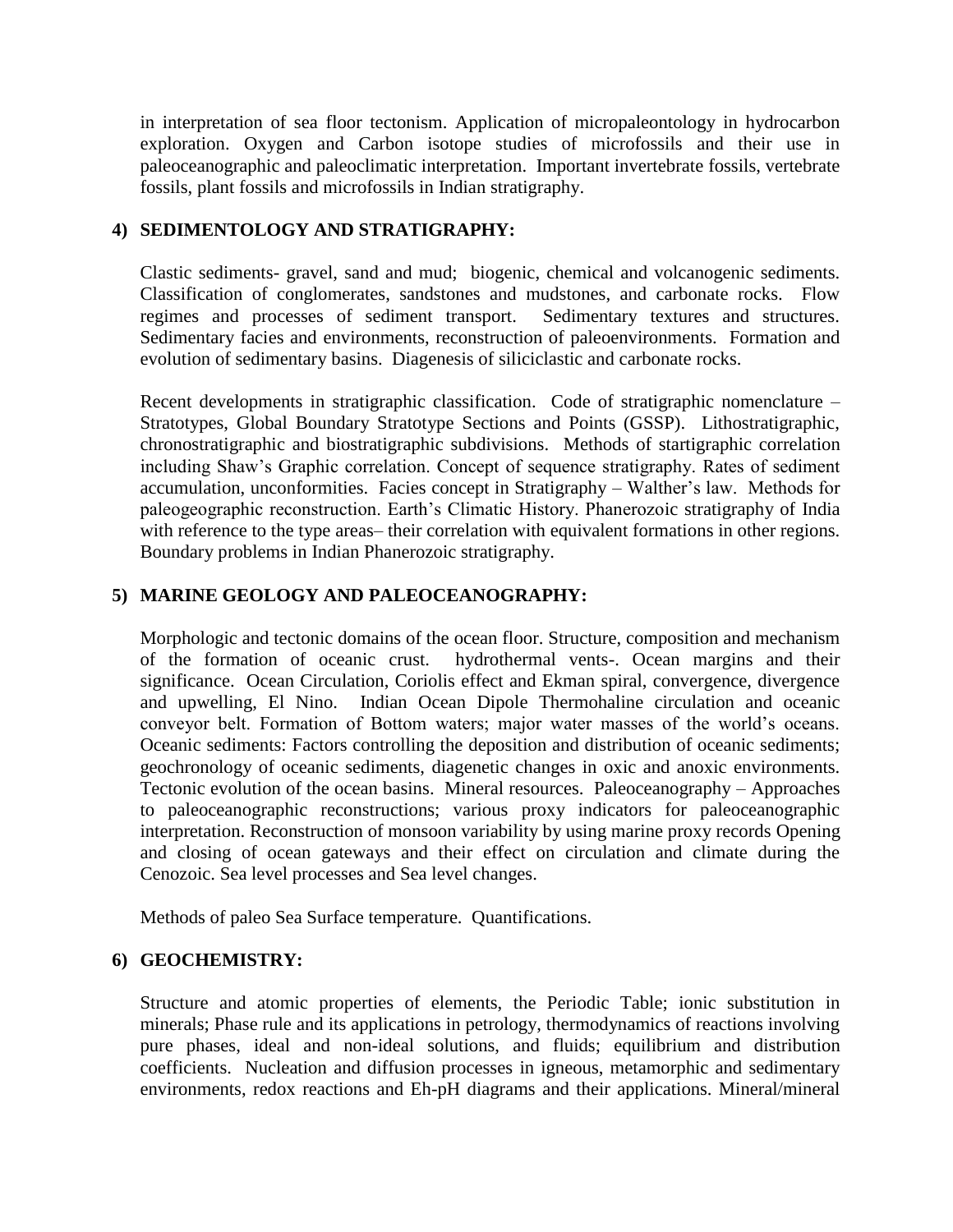in interpretation of sea floor tectonism. Application of micropaleontology in hydrocarbon exploration. Oxygen and Carbon isotope studies of microfossils and their use in paleoceanographic and paleoclimatic interpretation. Important invertebrate fossils, vertebrate fossils, plant fossils and microfossils in Indian stratigraphy.

### **4) SEDIMENTOLOGY AND STRATIGRAPHY:**

Clastic sediments- gravel, sand and mud; biogenic, chemical and volcanogenic sediments. Classification of conglomerates, sandstones and mudstones, and carbonate rocks. Flow regimes and processes of sediment transport. Sedimentary textures and structures. Sedimentary facies and environments, reconstruction of paleoenvironments. Formation and evolution of sedimentary basins. Diagenesis of siliciclastic and carbonate rocks.

Recent developments in stratigraphic classification. Code of stratigraphic nomenclature – Stratotypes, Global Boundary Stratotype Sections and Points (GSSP). Lithostratigraphic, chronostratigraphic and biostratigraphic subdivisions. Methods of startigraphic correlation including Shaw's Graphic correlation. Concept of sequence stratigraphy. Rates of sediment accumulation, unconformities. Facies concept in Stratigraphy – Walther's law. Methods for paleogeographic reconstruction. Earth's Climatic History. Phanerozoic stratigraphy of India with reference to the type areas– their correlation with equivalent formations in other regions. Boundary problems in Indian Phanerozoic stratigraphy.

## **5) MARINE GEOLOGY AND PALEOCEANOGRAPHY:**

Morphologic and tectonic domains of the ocean floor. Structure, composition and mechanism of the formation of oceanic crust. hydrothermal vents-. Ocean margins and their significance. Ocean Circulation, Coriolis effect and Ekman spiral, convergence, divergence and upwelling, El Nino. Indian Ocean Dipole Thermohaline circulation and oceanic conveyor belt. Formation of Bottom waters; major water masses of the world's oceans. Oceanic sediments: Factors controlling the deposition and distribution of oceanic sediments; geochronology of oceanic sediments, diagenetic changes in oxic and anoxic environments. Tectonic evolution of the ocean basins. Mineral resources. Paleoceanography – Approaches to paleoceanographic reconstructions; various proxy indicators for paleoceanographic interpretation. Reconstruction of monsoon variability by using marine proxy records Opening and closing of ocean gateways and their effect on circulation and climate during the Cenozoic. Sea level processes and Sea level changes.

Methods of paleo Sea Surface temperature. Quantifications.

### **6) GEOCHEMISTRY:**

Structure and atomic properties of elements, the Periodic Table; ionic substitution in minerals; Phase rule and its applications in petrology, thermodynamics of reactions involving pure phases, ideal and non-ideal solutions, and fluids; equilibrium and distribution coefficients. Nucleation and diffusion processes in igneous, metamorphic and sedimentary environments, redox reactions and Eh-pH diagrams and their applications. Mineral/mineral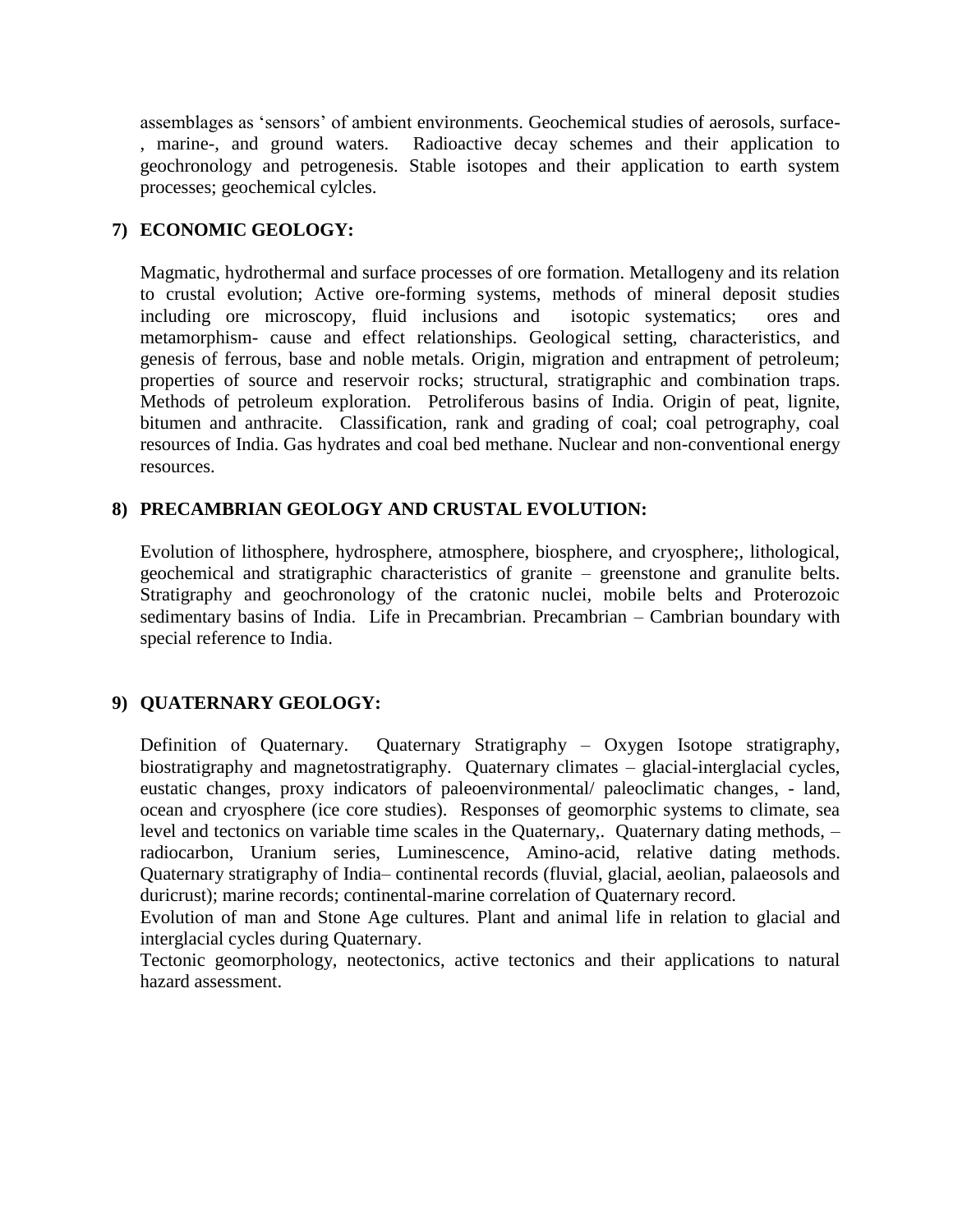assemblages as 'sensors' of ambient environments. Geochemical studies of aerosols, surface- , marine-, and ground waters. Radioactive decay schemes and their application to geochronology and petrogenesis. Stable isotopes and their application to earth system processes; geochemical cylcles.

### **7) ECONOMIC GEOLOGY:**

Magmatic, hydrothermal and surface processes of ore formation. Metallogeny and its relation to crustal evolution; Active ore-forming systems, methods of mineral deposit studies including ore microscopy, fluid inclusions and isotopic systematics; ores and metamorphism- cause and effect relationships. Geological setting, characteristics, and genesis of ferrous, base and noble metals. Origin, migration and entrapment of petroleum; properties of source and reservoir rocks; structural, stratigraphic and combination traps. Methods of petroleum exploration. Petroliferous basins of India. Origin of peat, lignite, bitumen and anthracite. Classification, rank and grading of coal; coal petrography, coal resources of India. Gas hydrates and coal bed methane. Nuclear and non-conventional energy resources.

### **8) PRECAMBRIAN GEOLOGY AND CRUSTAL EVOLUTION:**

Evolution of lithosphere, hydrosphere, atmosphere, biosphere, and cryosphere;, lithological, geochemical and stratigraphic characteristics of granite – greenstone and granulite belts. Stratigraphy and geochronology of the cratonic nuclei, mobile belts and Proterozoic sedimentary basins of India. Life in Precambrian. Precambrian – Cambrian boundary with special reference to India.

### **9) QUATERNARY GEOLOGY:**

Definition of Quaternary. Quaternary Stratigraphy – Oxygen Isotope stratigraphy, biostratigraphy and magnetostratigraphy. Quaternary climates – glacial-interglacial cycles, eustatic changes, proxy indicators of paleoenvironmental/ paleoclimatic changes, - land, ocean and cryosphere (ice core studies). Responses of geomorphic systems to climate, sea level and tectonics on variable time scales in the Quaternary,. Quaternary dating methods, – radiocarbon, Uranium series, Luminescence, Amino-acid, relative dating methods. Quaternary stratigraphy of India– continental records (fluvial, glacial, aeolian, palaeosols and duricrust); marine records; continental-marine correlation of Quaternary record.

Evolution of man and Stone Age cultures. Plant and animal life in relation to glacial and interglacial cycles during Quaternary.

Tectonic geomorphology, neotectonics, active tectonics and their applications to natural hazard assessment.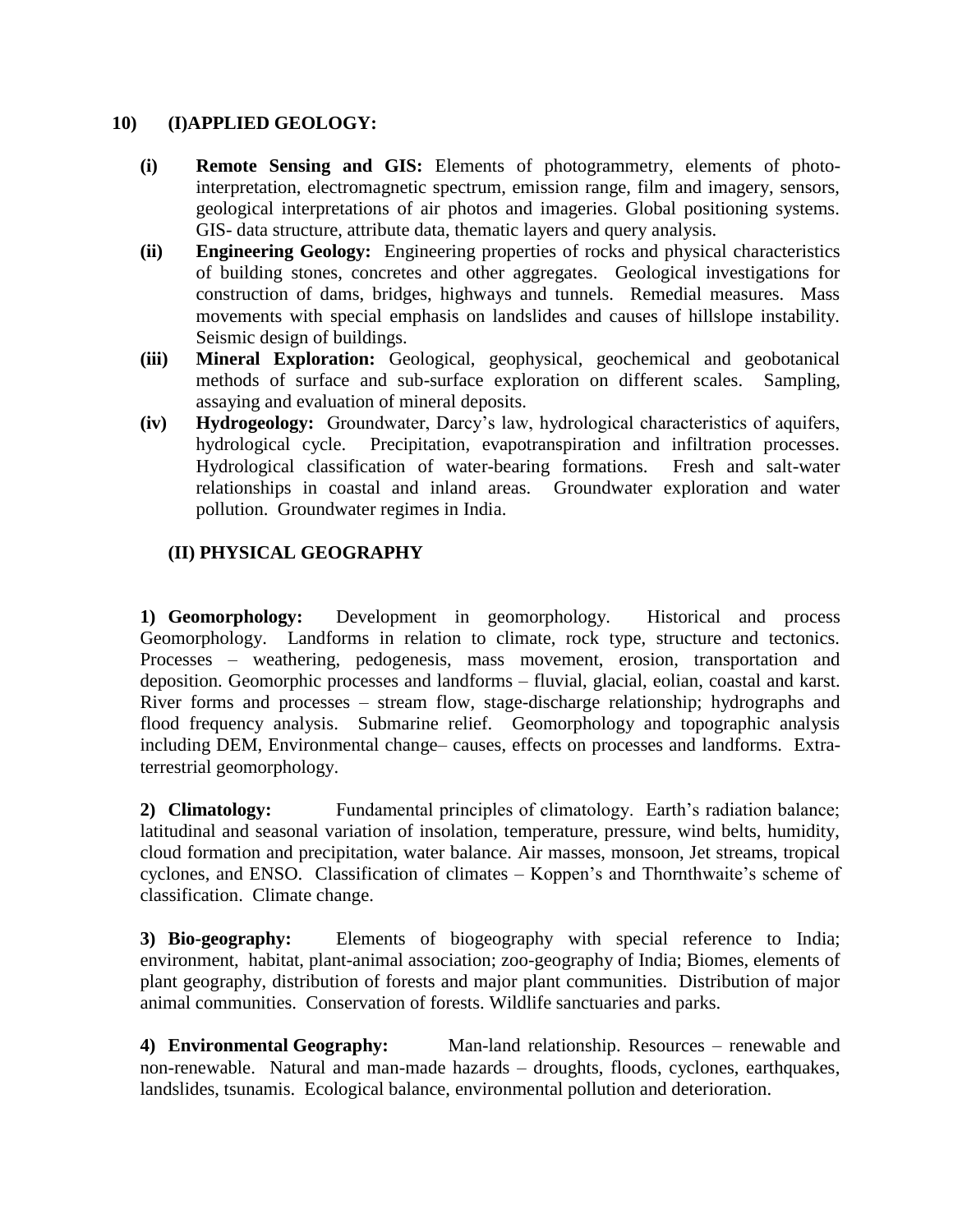#### **10) (I)APPLIED GEOLOGY:**

- **(i) Remote Sensing and GIS:** Elements of photogrammetry, elements of photointerpretation, electromagnetic spectrum, emission range, film and imagery, sensors, geological interpretations of air photos and imageries. Global positioning systems. GIS- data structure, attribute data, thematic layers and query analysis.
- **(ii) Engineering Geology:** Engineering properties of rocks and physical characteristics of building stones, concretes and other aggregates. Geological investigations for construction of dams, bridges, highways and tunnels. Remedial measures. Mass movements with special emphasis on landslides and causes of hillslope instability. Seismic design of buildings.
- **(iii) Mineral Exploration:** Geological, geophysical, geochemical and geobotanical methods of surface and sub-surface exploration on different scales. Sampling, assaying and evaluation of mineral deposits.
- **(iv) Hydrogeology:** Groundwater, Darcy's law, hydrological characteristics of aquifers, hydrological cycle. Precipitation, evapotranspiration and infiltration processes. Hydrological classification of water-bearing formations. Fresh and salt-water relationships in coastal and inland areas. Groundwater exploration and water pollution. Groundwater regimes in India.

# **(II) PHYSICAL GEOGRAPHY**

**1) Geomorphology:** Development in geomorphology. Historical and process Geomorphology. Landforms in relation to climate, rock type, structure and tectonics. Processes – weathering, pedogenesis, mass movement, erosion, transportation and deposition. Geomorphic processes and landforms – fluvial, glacial, eolian, coastal and karst. River forms and processes – stream flow, stage-discharge relationship; hydrographs and flood frequency analysis. Submarine relief. Geomorphology and topographic analysis including DEM, Environmental change– causes, effects on processes and landforms. Extraterrestrial geomorphology.

**2) Climatology:** Fundamental principles of climatology. Earth's radiation balance; latitudinal and seasonal variation of insolation, temperature, pressure, wind belts, humidity, cloud formation and precipitation, water balance. Air masses, monsoon, Jet streams, tropical cyclones, and ENSO. Classification of climates – Koppen's and Thornthwaite's scheme of classification. Climate change.

**3) Bio-geography:** Elements of biogeography with special reference to India; environment, habitat, plant-animal association; zoo-geography of India; Biomes, elements of plant geography, distribution of forests and major plant communities. Distribution of major animal communities. Conservation of forests. Wildlife sanctuaries and parks.

**4) Environmental Geography:** Man-land relationship. Resources – renewable and non-renewable. Natural and man-made hazards – droughts, floods, cyclones, earthquakes, landslides, tsunamis. Ecological balance, environmental pollution and deterioration.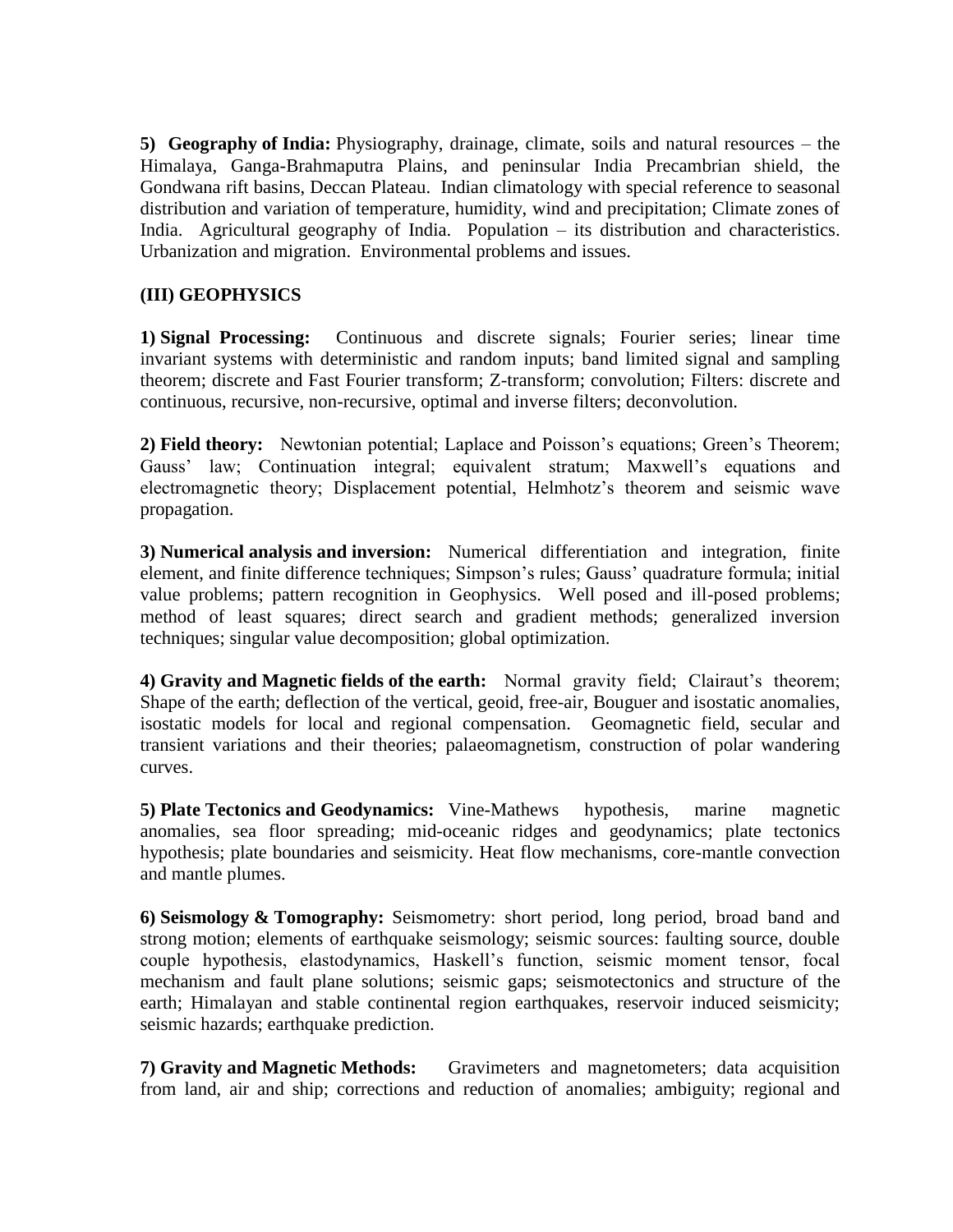**5) Geography of India:** Physiography, drainage, climate, soils and natural resources – the Himalaya, Ganga-Brahmaputra Plains, and peninsular India Precambrian shield, the Gondwana rift basins, Deccan Plateau. Indian climatology with special reference to seasonal distribution and variation of temperature, humidity, wind and precipitation; Climate zones of India. Agricultural geography of India. Population – its distribution and characteristics. Urbanization and migration. Environmental problems and issues.

### **(III) GEOPHYSICS**

**1) Signal Processing:** Continuous and discrete signals; Fourier series; linear time invariant systems with deterministic and random inputs; band limited signal and sampling theorem; discrete and Fast Fourier transform; Z-transform; convolution; Filters: discrete and continuous, recursive, non-recursive, optimal and inverse filters; deconvolution.

**2) Field theory:** Newtonian potential; Laplace and Poisson's equations; Green's Theorem; Gauss' law; Continuation integral; equivalent stratum; Maxwell's equations and electromagnetic theory; Displacement potential, Helmhotz's theorem and seismic wave propagation.

**3) Numerical analysis and inversion:** Numerical differentiation and integration, finite element, and finite difference techniques; Simpson's rules; Gauss' quadrature formula; initial value problems; pattern recognition in Geophysics. Well posed and ill-posed problems; method of least squares; direct search and gradient methods; generalized inversion techniques; singular value decomposition; global optimization.

**4) Gravity and Magnetic fields of the earth:** Normal gravity field; Clairaut's theorem; Shape of the earth; deflection of the vertical, geoid, free-air, Bouguer and isostatic anomalies, isostatic models for local and regional compensation. Geomagnetic field, secular and transient variations and their theories; palaeomagnetism, construction of polar wandering curves.

**5) Plate Tectonics and Geodynamics:** Vine-Mathews hypothesis, marine magnetic anomalies, sea floor spreading; mid-oceanic ridges and geodynamics; plate tectonics hypothesis; plate boundaries and seismicity. Heat flow mechanisms, core-mantle convection and mantle plumes.

**6) Seismology & Tomography:** Seismometry: short period, long period, broad band and strong motion; elements of earthquake seismology; seismic sources: faulting source, double couple hypothesis, elastodynamics, Haskell's function, seismic moment tensor, focal mechanism and fault plane solutions; seismic gaps; seismotectonics and structure of the earth; Himalayan and stable continental region earthquakes, reservoir induced seismicity; seismic hazards; earthquake prediction.

**7) Gravity and Magnetic Methods:** Gravimeters and magnetometers; data acquisition from land, air and ship; corrections and reduction of anomalies; ambiguity; regional and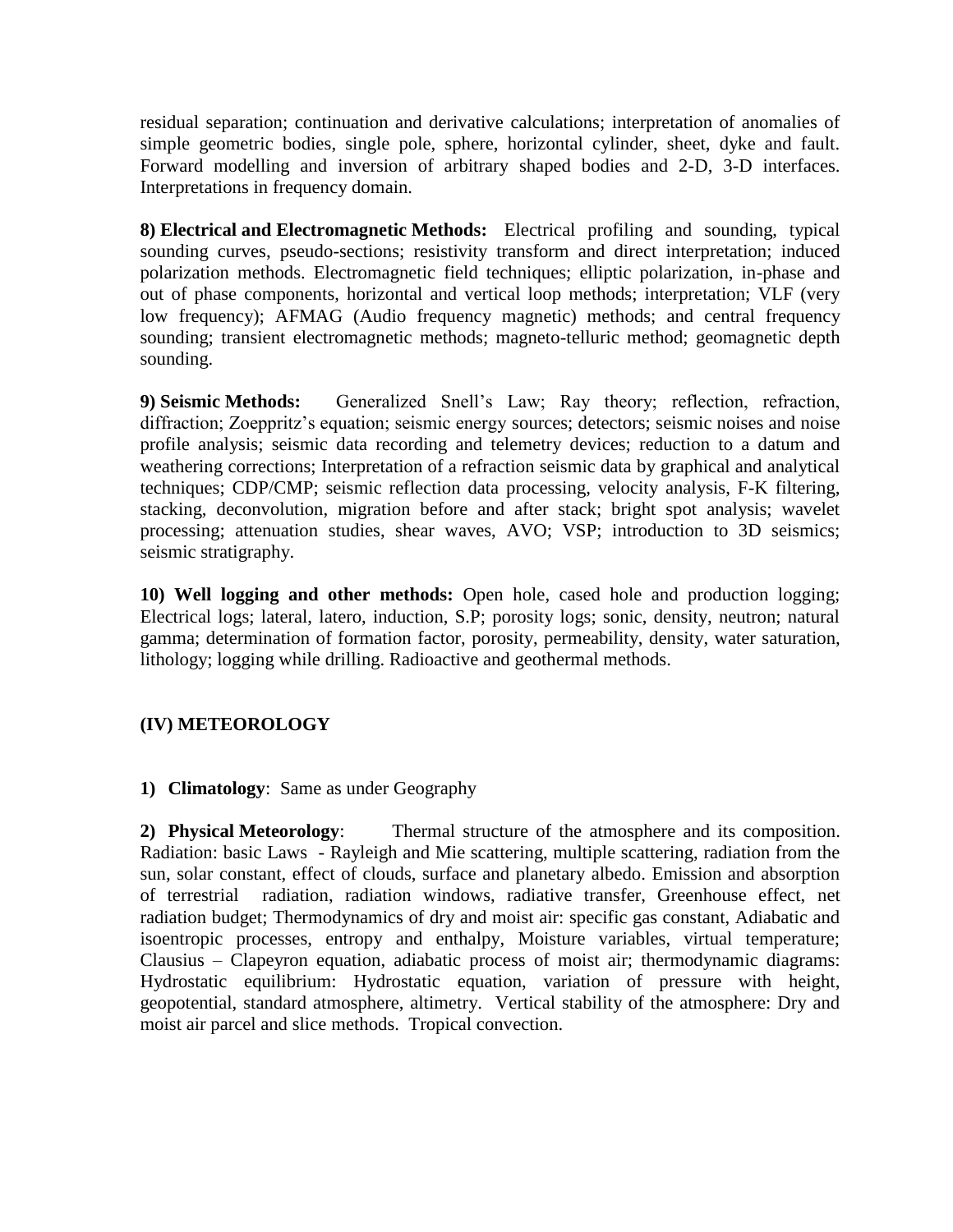residual separation; continuation and derivative calculations; interpretation of anomalies of simple geometric bodies, single pole, sphere, horizontal cylinder, sheet, dyke and fault. Forward modelling and inversion of arbitrary shaped bodies and 2-D, 3-D interfaces. Interpretations in frequency domain.

**8) Electrical and Electromagnetic Methods:** Electrical profiling and sounding, typical sounding curves, pseudo-sections; resistivity transform and direct interpretation; induced polarization methods. Electromagnetic field techniques; elliptic polarization, in-phase and out of phase components, horizontal and vertical loop methods; interpretation; VLF (very low frequency); AFMAG (Audio frequency magnetic) methods; and central frequency sounding; transient electromagnetic methods; magneto-telluric method; geomagnetic depth sounding.

**9) Seismic Methods:** Generalized Snell's Law; Ray theory; reflection, refraction, diffraction; Zoeppritz's equation; seismic energy sources; detectors; seismic noises and noise profile analysis; seismic data recording and telemetry devices; reduction to a datum and weathering corrections; Interpretation of a refraction seismic data by graphical and analytical techniques; CDP/CMP; seismic reflection data processing, velocity analysis, F-K filtering, stacking, deconvolution, migration before and after stack; bright spot analysis; wavelet processing; attenuation studies, shear waves, AVO; VSP; introduction to 3D seismics; seismic stratigraphy.

**10) Well logging and other methods:** Open hole, cased hole and production logging; Electrical logs; lateral, latero, induction, S.P; porosity logs; sonic, density, neutron; natural gamma; determination of formation factor, porosity, permeability, density, water saturation, lithology; logging while drilling. Radioactive and geothermal methods.

### **(IV) METEOROLOGY**

### **1) Climatology**: Same as under Geography

**2) Physical Meteorology**: Thermal structure of the atmosphere and its composition. Radiation: basic Laws - Rayleigh and Mie scattering, multiple scattering, radiation from the sun, solar constant, effect of clouds, surface and planetary albedo. Emission and absorption of terrestrial radiation, radiation windows, radiative transfer, Greenhouse effect, net radiation budget; Thermodynamics of dry and moist air: specific gas constant, Adiabatic and isoentropic processes, entropy and enthalpy, Moisture variables, virtual temperature; Clausius – Clapeyron equation, adiabatic process of moist air; thermodynamic diagrams: Hydrostatic equilibrium: Hydrostatic equation, variation of pressure with height, geopotential, standard atmosphere, altimetry. Vertical stability of the atmosphere: Dry and moist air parcel and slice methods. Tropical convection.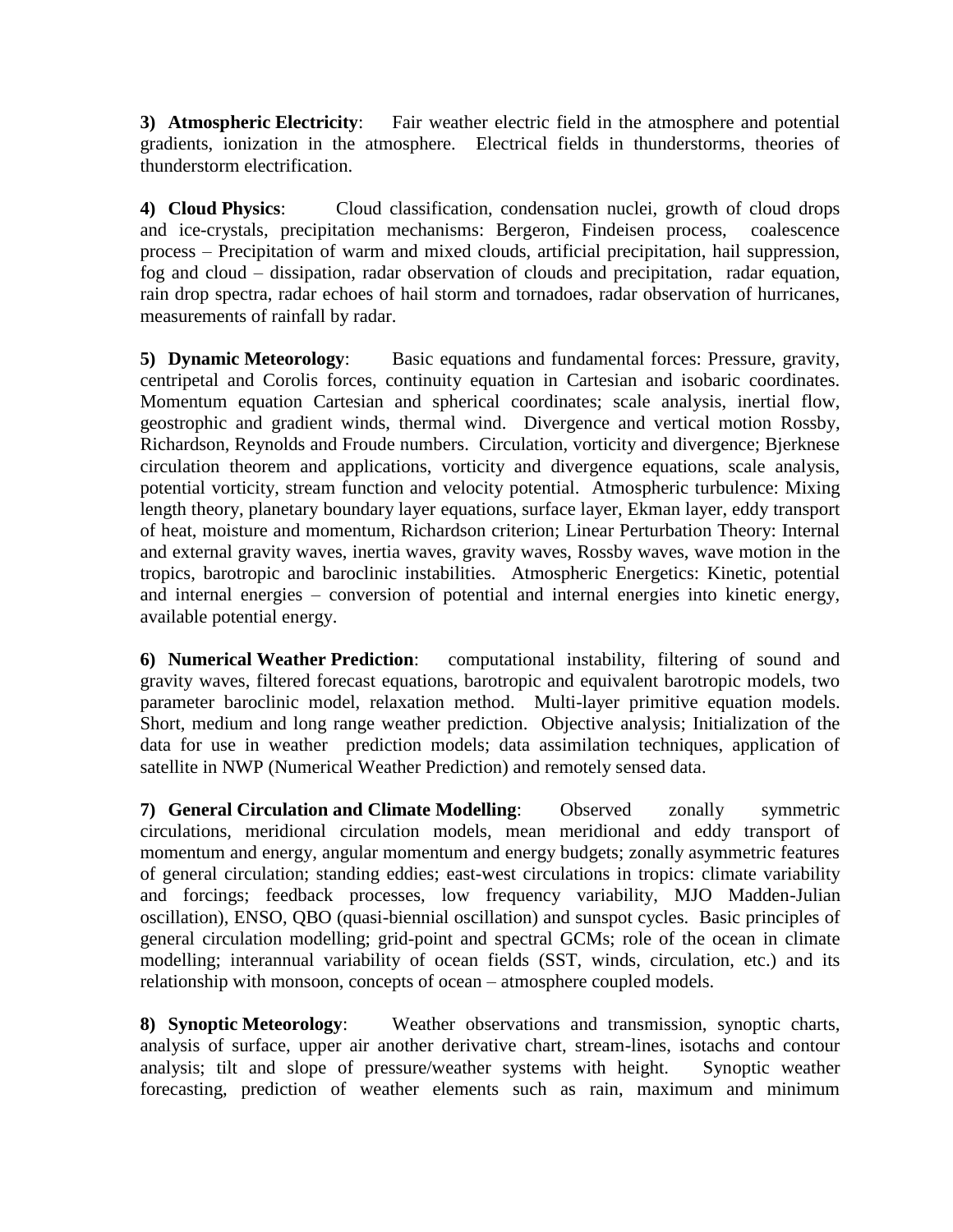**3) Atmospheric Electricity**: Fair weather electric field in the atmosphere and potential gradients, ionization in the atmosphere. Electrical fields in thunderstorms, theories of thunderstorm electrification.

**4) Cloud Physics**: Cloud classification, condensation nuclei, growth of cloud drops and ice-crystals, precipitation mechanisms: Bergeron, Findeisen process, coalescence process – Precipitation of warm and mixed clouds, artificial precipitation, hail suppression, fog and cloud – dissipation, radar observation of clouds and precipitation, radar equation, rain drop spectra, radar echoes of hail storm and tornadoes, radar observation of hurricanes, measurements of rainfall by radar.

**5) Dynamic Meteorology**: Basic equations and fundamental forces: Pressure, gravity, centripetal and Corolis forces, continuity equation in Cartesian and isobaric coordinates. Momentum equation Cartesian and spherical coordinates; scale analysis, inertial flow, geostrophic and gradient winds, thermal wind. Divergence and vertical motion Rossby, Richardson, Reynolds and Froude numbers. Circulation, vorticity and divergence; Bjerknese circulation theorem and applications, vorticity and divergence equations, scale analysis, potential vorticity, stream function and velocity potential. Atmospheric turbulence: Mixing length theory, planetary boundary layer equations, surface layer, Ekman layer, eddy transport of heat, moisture and momentum, Richardson criterion; Linear Perturbation Theory: Internal and external gravity waves, inertia waves, gravity waves, Rossby waves, wave motion in the tropics, barotropic and baroclinic instabilities. Atmospheric Energetics: Kinetic, potential and internal energies – conversion of potential and internal energies into kinetic energy, available potential energy.

**6) Numerical Weather Prediction**: computational instability, filtering of sound and gravity waves, filtered forecast equations, barotropic and equivalent barotropic models, two parameter baroclinic model, relaxation method. Multi-layer primitive equation models. Short, medium and long range weather prediction. Objective analysis; Initialization of the data for use in weather prediction models; data assimilation techniques, application of satellite in NWP (Numerical Weather Prediction) and remotely sensed data.

**7) General Circulation and Climate Modelling**: Observed zonally symmetric circulations, meridional circulation models, mean meridional and eddy transport of momentum and energy, angular momentum and energy budgets; zonally asymmetric features of general circulation; standing eddies; east-west circulations in tropics: climate variability and forcings; feedback processes, low frequency variability, MJO Madden-Julian oscillation), ENSO, QBO (quasi-biennial oscillation) and sunspot cycles. Basic principles of general circulation modelling; grid-point and spectral GCMs; role of the ocean in climate modelling; interannual variability of ocean fields (SST, winds, circulation, etc.) and its relationship with monsoon, concepts of ocean – atmosphere coupled models.

**8) Synoptic Meteorology**: Weather observations and transmission, synoptic charts, analysis of surface, upper air another derivative chart, stream-lines, isotachs and contour analysis; tilt and slope of pressure/weather systems with height. Synoptic weather forecasting, prediction of weather elements such as rain, maximum and minimum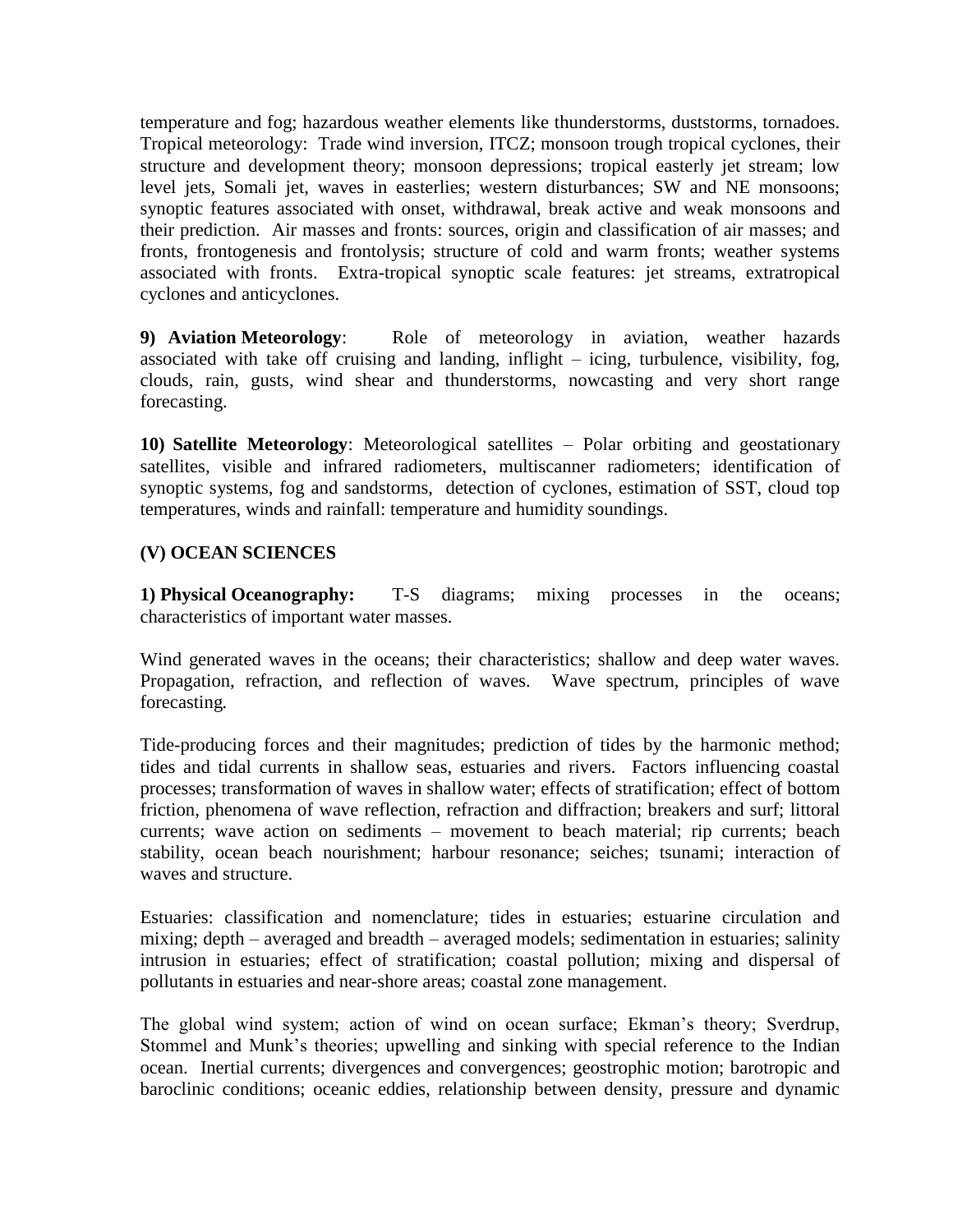temperature and fog; hazardous weather elements like thunderstorms, duststorms, tornadoes. Tropical meteorology: Trade wind inversion, ITCZ; monsoon trough tropical cyclones, their structure and development theory; monsoon depressions; tropical easterly jet stream; low level jets, Somali jet, waves in easterlies; western disturbances; SW and NE monsoons; synoptic features associated with onset, withdrawal, break active and weak monsoons and their prediction. Air masses and fronts: sources, origin and classification of air masses; and fronts, frontogenesis and frontolysis; structure of cold and warm fronts; weather systems associated with fronts. Extra-tropical synoptic scale features: jet streams, extratropical cyclones and anticyclones.

**9) Aviation Meteorology**: Role of meteorology in aviation, weather hazards associated with take off cruising and landing, inflight – icing, turbulence, visibility, fog, clouds, rain, gusts, wind shear and thunderstorms, nowcasting and very short range forecasting.

**10) Satellite Meteorology**: Meteorological satellites – Polar orbiting and geostationary satellites, visible and infrared radiometers, multiscanner radiometers; identification of synoptic systems, fog and sandstorms, detection of cyclones, estimation of SST, cloud top temperatures, winds and rainfall: temperature and humidity soundings.

## **(V) OCEAN SCIENCES**

**1) Physical Oceanography:** T-S diagrams; mixing processes in the oceans; characteristics of important water masses.

Wind generated waves in the oceans; their characteristics; shallow and deep water waves. Propagation, refraction, and reflection of waves. Wave spectrum, principles of wave forecasting*.*

Tide-producing forces and their magnitudes; prediction of tides by the harmonic method; tides and tidal currents in shallow seas, estuaries and rivers. Factors influencing coastal processes; transformation of waves in shallow water; effects of stratification; effect of bottom friction, phenomena of wave reflection, refraction and diffraction; breakers and surf; littoral currents; wave action on sediments – movement to beach material; rip currents; beach stability, ocean beach nourishment; harbour resonance; seiches; tsunami; interaction of waves and structure.

Estuaries: classification and nomenclature; tides in estuaries; estuarine circulation and mixing; depth – averaged and breadth – averaged models; sedimentation in estuaries; salinity intrusion in estuaries; effect of stratification; coastal pollution; mixing and dispersal of pollutants in estuaries and near-shore areas; coastal zone management.

The global wind system; action of wind on ocean surface; Ekman's theory; Sverdrup, Stommel and Munk's theories; upwelling and sinking with special reference to the Indian ocean. Inertial currents; divergences and convergences; geostrophic motion; barotropic and baroclinic conditions; oceanic eddies, relationship between density, pressure and dynamic